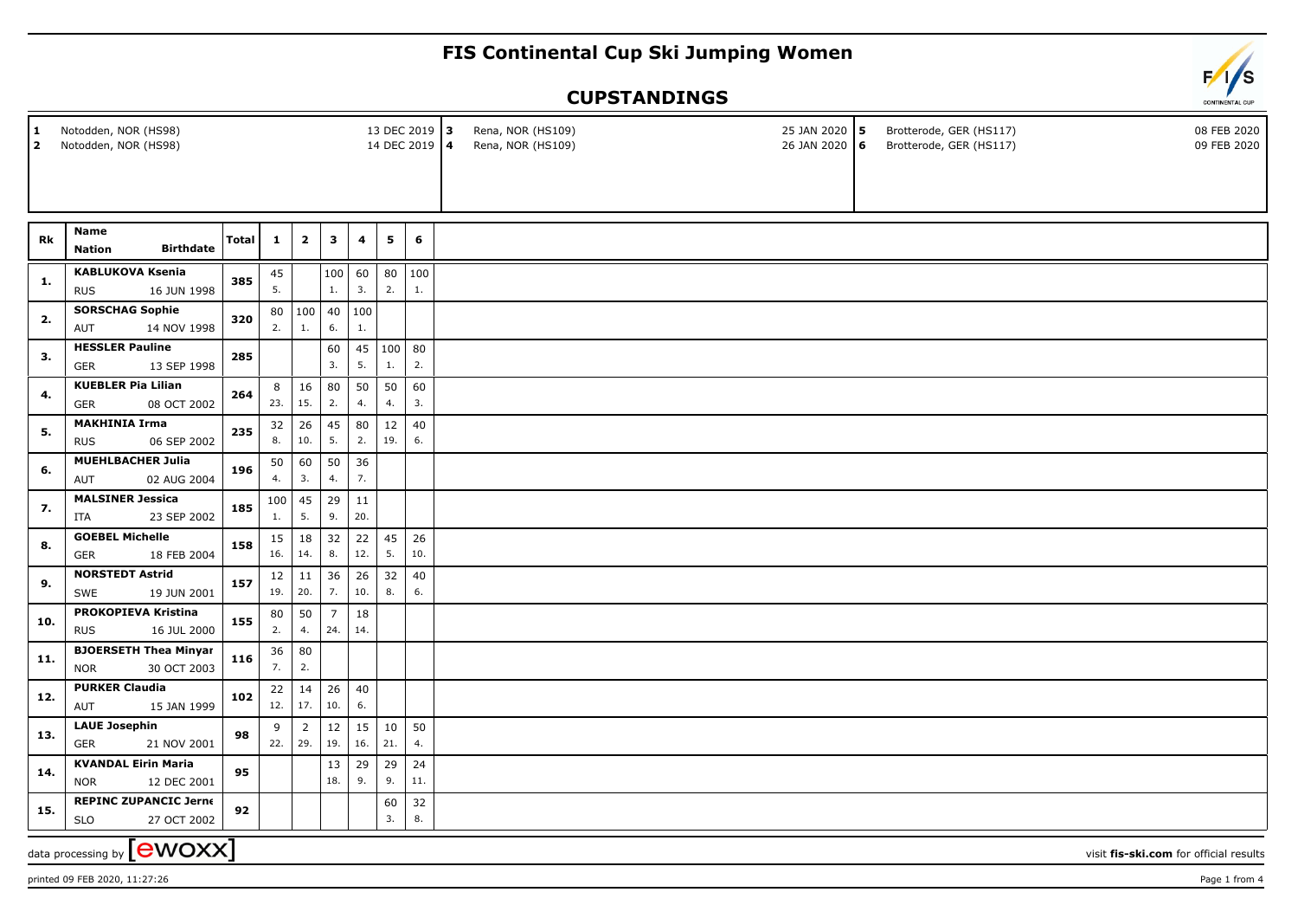## **FIS Continental Cup Ski Jumping Women**

## **CUPSTANDINGS**

| $\mathbf{1}$<br>$\mathbf{2}$                                                 | Notodden, NOR (HS98)<br>13 DEC 2019 3<br>Notodden, NOR (HS98)<br>14 DEC 2019 4 |              |              |                             |                       |           |              |           |  | Rena, NOR (HS109)<br>Rena, NOR (HS109) | 25 JAN 2020 5<br>26 JAN 2020 6 |  | Brotterode, GER (HS117)<br>Brotterode, GER (HS117) | 08 FEB 2020<br>09 FEB 2020 |  |
|------------------------------------------------------------------------------|--------------------------------------------------------------------------------|--------------|--------------|-----------------------------|-----------------------|-----------|--------------|-----------|--|----------------------------------------|--------------------------------|--|----------------------------------------------------|----------------------------|--|
|                                                                              |                                                                                |              |              |                             |                       |           |              |           |  |                                        |                                |  |                                                    |                            |  |
| Rk                                                                           | <b>Name</b><br><b>Birthdate</b><br><b>Nation</b>                               | <b>Total</b> | $\mathbf{1}$ | $\overline{2}$              | $\mathbf{3}$          | 4         | 5            | 6         |  |                                        |                                |  |                                                    |                            |  |
| 1.                                                                           | <b>KABLUKOVA Ksenia</b><br><b>RUS</b><br>16 JUN 1998                           | 385          | 45<br>5.     |                             | 100<br>1.             | 60<br>3.  | 80<br>2.     | 100<br>1. |  |                                        |                                |  |                                                    |                            |  |
| 2.                                                                           | <b>SORSCHAG Sophie</b><br>14 NOV 1998<br><b>AUT</b>                            | 320          | 2.           | 80   100<br>1.              | 40<br>6.              | 100<br>1. |              |           |  |                                        |                                |  |                                                    |                            |  |
| 3.                                                                           | <b>HESSLER Pauline</b><br>13 SEP 1998<br>GER                                   | 285          |              |                             | 60<br>3.              | 45<br>5.  | 100 80<br>1. | 2.        |  |                                        |                                |  |                                                    |                            |  |
| 4.                                                                           | <b>KUEBLER Pia Lilian</b><br><b>GER</b><br>08 OCT 2002                         | 264          | 8<br>23.     | 16<br>15.                   | 80<br>2.              | 50<br>4.  | 50<br>4.     | 60<br>3.  |  |                                        |                                |  |                                                    |                            |  |
| 5.                                                                           | <b>MAKHINIA Irma</b><br>06 SEP 2002<br><b>RUS</b>                              | 235          | 32<br>8.     | 26<br>10.                   | 45<br>5.              | 80<br>2.  | 12<br>19.    | 40<br>6.  |  |                                        |                                |  |                                                    |                            |  |
| 6.                                                                           | <b>MUEHLBACHER Julia</b><br>02 AUG 2004<br><b>AUT</b>                          | 196          | 50<br>4.     | 60<br>3.                    | 50<br>4.              | 36<br>7.  |              |           |  |                                        |                                |  |                                                    |                            |  |
| 7.                                                                           | <b>MALSINER Jessica</b><br>23 SEP 2002<br>ITA                                  | 185          | 100<br>1.    | 45<br>5.                    | 29<br>9.              | 11<br>20. |              |           |  |                                        |                                |  |                                                    |                            |  |
| 8.                                                                           | <b>GOEBEL Michelle</b><br>18 FEB 2004<br>GER                                   | 158          | 15 <br>16.   | 18<br>14.                   | 32<br>8.              | 22<br>12. | 45<br>5.     | 26<br>10. |  |                                        |                                |  |                                                    |                            |  |
| 9.                                                                           | <b>NORSTEDT Astrid</b><br>19 JUN 2001<br>SWE                                   | 157          | 19.          | $12 \mid 11$<br>20.         | 36<br>7.              | 26<br>10. | 32<br>8.     | 40<br>6.  |  |                                        |                                |  |                                                    |                            |  |
| 10.                                                                          | PROKOPIEVA Kristina<br><b>RUS</b><br>16 JUL 2000                               | 155          | 80<br>2.     | 50<br>4.                    | $\overline{7}$<br>24. | 18<br>14. |              |           |  |                                        |                                |  |                                                    |                            |  |
| 11.                                                                          | <b>BJOERSETH Thea Minyar</b><br>30 OCT 2003<br><b>NOR</b>                      | 116          | 36<br>7.     | 80<br>2.                    |                       |           |              |           |  |                                        |                                |  |                                                    |                            |  |
| 12.                                                                          | <b>PURKER Claudia</b><br>15 JAN 1999<br>AUT                                    | 102          | 22           | 14<br>12.   17.             | 26<br>10.             | 40<br>6.  |              |           |  |                                        |                                |  |                                                    |                            |  |
| 13.                                                                          | <b>LAUE Josephin</b><br>21 NOV 2001<br><b>GER</b>                              | 98           | 9            | $\overline{2}$<br>$22.$ 29. | 12<br>19.             | 15<br>16. | 10<br>21.    | 50<br>4.  |  |                                        |                                |  |                                                    |                            |  |
| 14.                                                                          | <b>KVANDAL Eirin Maria</b><br>12 DEC 2001<br><b>NOR</b>                        | 95           |              |                             | 13<br>18.             | 29<br>9.  | 29<br>9.     | 24<br>11. |  |                                        |                                |  |                                                    |                            |  |
| 15.                                                                          | <b>REPINC ZUPANCIC Jerne</b><br><b>SLO</b><br>27 OCT 2002                      | 92           |              |                             |                       |           | 60<br>3.     | 32<br>8.  |  |                                        |                                |  |                                                    |                            |  |
| data processing by ${\rm [ewoxx]}$<br>visit fis-ski.com for official results |                                                                                |              |              |                             |                       |           |              |           |  |                                        |                                |  |                                                    |                            |  |

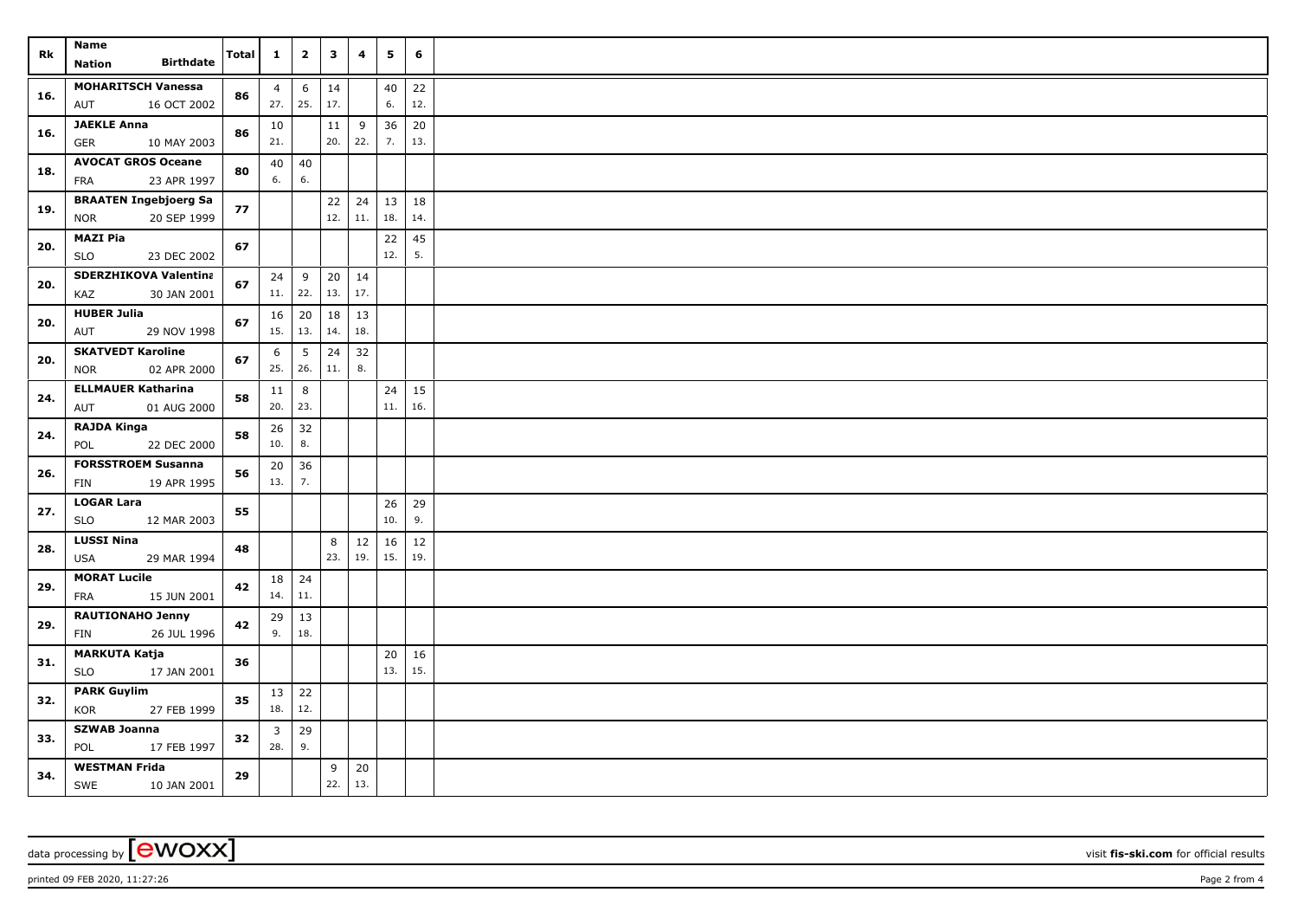| Rk  | <b>Name</b>                                     | <b>Total</b> | $\mathbf{1}$   | $\overline{\mathbf{2}}$ | 3    | 4   | 5         | 6   |  |
|-----|-------------------------------------------------|--------------|----------------|-------------------------|------|-----|-----------|-----|--|
|     | <b>Birthdate</b><br><b>Nation</b>               |              |                |                         |      |     |           |     |  |
| 16. | <b>MOHARITSCH Vanessa</b>                       | 86           | $\overline{4}$ | $6\phantom{1}6$         | 14   |     | 40        | 22  |  |
|     | AUT<br>16 OCT 2002                              |              | 27.            | 25.                     | 17.  |     | 6.        | 12. |  |
| 16. | <b>JAEKLE Anna</b>                              | 86           | 10             |                         | 11   | 9   | 36        | 20  |  |
|     | GER<br>10 MAY 2003                              |              | 21.            |                         | 20.  | 22. | 7.        | 13. |  |
| 18. | <b>AVOCAT GROS Oceane</b>                       | 80           | 40             | 40                      |      |     |           |     |  |
|     | FRA<br>23 APR 1997                              |              | 6.             | 6.                      |      |     |           |     |  |
| 19. | <b>BRAATEN Ingebjoerg Sa</b>                    | 77           |                |                         | $22$ | 24  | 13        | 18  |  |
|     | 20 SEP 1999<br><b>NOR</b>                       |              |                |                         | 12.  | 11. | 18.       | 14. |  |
| 20. | <b>MAZI Pia</b>                                 | 67           |                |                         |      |     | 22        | 45  |  |
|     | <b>SLO</b><br>23 DEC 2002                       |              |                |                         |      |     | 12.       | 5.  |  |
| 20. | <b>SDERZHIKOVA Valentina</b>                    | 67           | 24             | 9                       | 20   | 14  |           |     |  |
|     | KAZ<br>30 JAN 2001                              |              | 11.            | 22.                     | 13.  | 17. |           |     |  |
| 20. | <b>HUBER Julia</b>                              | 67           | 16             | 20                      | 18   | 13  |           |     |  |
|     | AUT<br>29 NOV 1998                              |              | 15.            | 13.                     | 14.  | 18. |           |     |  |
| 20. | <b>SKATVEDT Karoline</b>                        | 67           | 6              | 5                       | 24   | 32  |           |     |  |
|     | 02 APR 2000<br><b>NOR</b>                       |              | 25.            | 26.                     | 11.  | 8.  |           |     |  |
| 24. | <b>ELLMAUER Katharina</b>                       | 58           | 11             | 8                       |      |     | 24        | 15  |  |
|     | 01 AUG 2000<br>AUT                              |              | 20.            | 23.                     |      |     | 11.       | 16. |  |
| 24. | <b>RAJDA Kinga</b>                              | 58           | 26<br>10.      | 32<br>8.                |      |     |           |     |  |
|     | POL<br>22 DEC 2000                              |              |                |                         |      |     |           |     |  |
| 26. | <b>FORSSTROEM Susanna</b><br>FIN<br>19 APR 1995 | 56           | 20<br>13.      | 36<br>7.                |      |     |           |     |  |
|     | <b>LOGAR Lara</b>                               |              |                |                         |      |     |           | 29  |  |
| 27. | <b>SLO</b><br>12 MAR 2003                       | 55           |                |                         |      |     | 26<br>10. | 9.  |  |
|     | <b>LUSSI Nina</b>                               |              |                |                         | 8    | 12  | 16        | 12  |  |
| 28. | <b>USA</b><br>29 MAR 1994                       | 48           |                |                         | 23.  | 19. | 15.       | 19. |  |
|     | <b>MORAT Lucile</b>                             | 42           | 18             | 24                      |      |     |           |     |  |
| 29. | FRA<br>15 JUN 2001                              |              | 14.            | $11.$                   |      |     |           |     |  |
|     | <b>RAUTIONAHO Jenny</b>                         |              | 29             | 13                      |      |     |           |     |  |
| 29. | 26 JUL 1996<br>FIN                              | 42           | 9.             | 18.                     |      |     |           |     |  |
|     | <b>MARKUTA Katja</b>                            |              |                |                         |      |     | 20        | 16  |  |
| 31. | <b>SLO</b><br>17 JAN 2001                       | 36           |                |                         |      |     | 13.       | 15. |  |
| 32. | <b>PARK Guylim</b>                              |              | $13 \mid 22$   |                         |      |     |           |     |  |
|     | 27 FEB 1999<br>KOR                              | 35           | 18.            | 12.                     |      |     |           |     |  |
|     | <b>SZWAB Joanna</b>                             |              | 3              | 29                      |      |     |           |     |  |
| 33. | POL<br>17 FEB 1997                              | 32           | 28.            | 9.                      |      |     |           |     |  |
|     | <b>WESTMAN Frida</b>                            |              |                |                         | 9    | 20  |           |     |  |
| 34. | SWE<br>10 JAN 2001                              | 29           |                |                         | 22.  | 13. |           |     |  |

data processing by **CWOXX** visit **fis-ski.com** for official results

printed 09 FEB 2020, 11:27:26 Page 2 from 4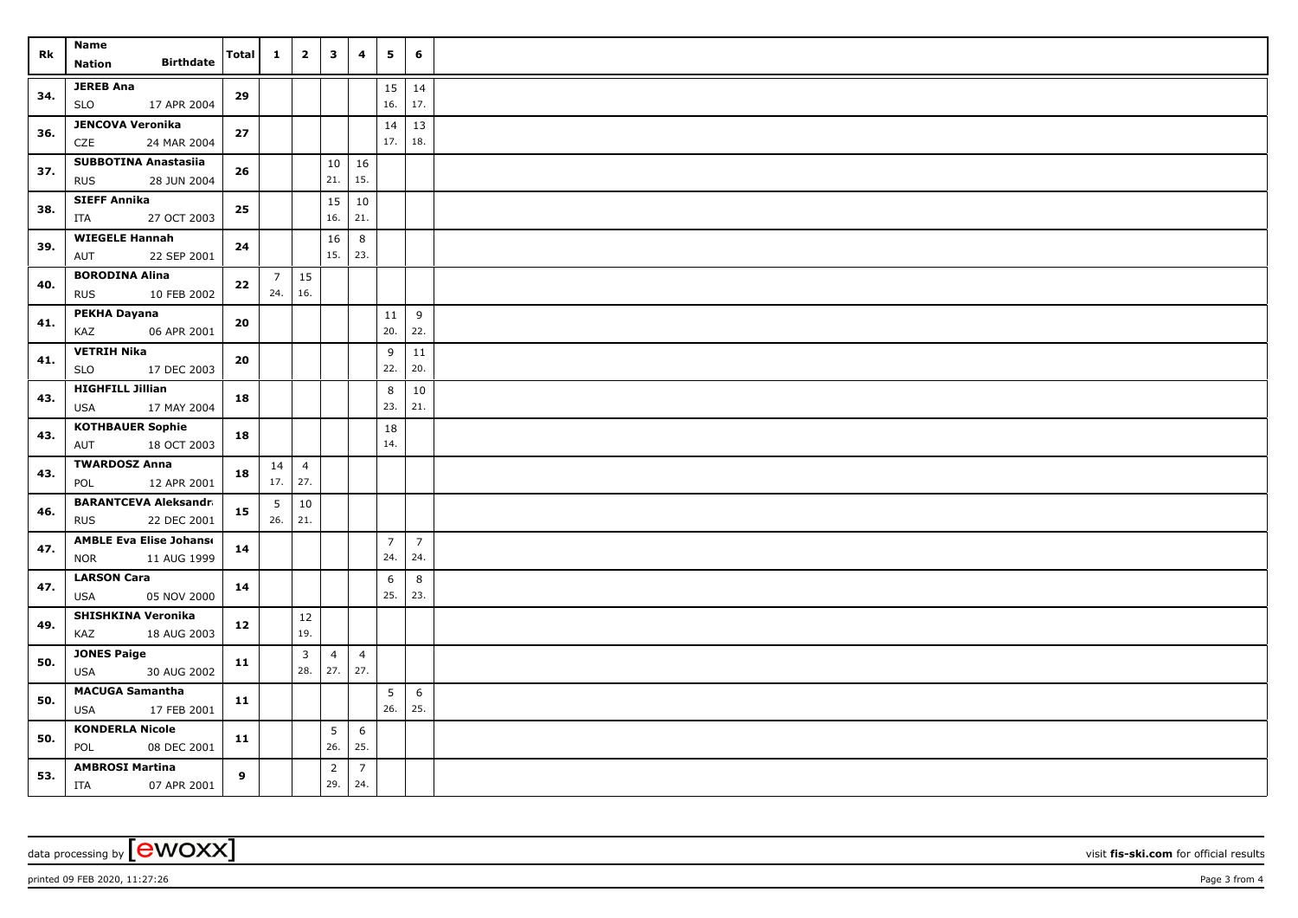| Rk  | Name<br><b>Birthdate</b><br>Nation                          | Total      | $\mathbf{1}$          | $\mathbf{2}$          | $\overline{\mathbf{3}}$ | 4                     | 5                     | 6                     |  |
|-----|-------------------------------------------------------------|------------|-----------------------|-----------------------|-------------------------|-----------------------|-----------------------|-----------------------|--|
| 34. | <b>JEREB Ana</b><br><b>SLO</b><br>17 APR 2004               | 29         |                       |                       |                         |                       | 15<br>16.             | 14<br>17.             |  |
| 36. | <b>JENCOVA Veronika</b><br>CZE<br>24 MAR 2004               | 27         |                       |                       |                         |                       | 14<br>17.             | 13<br>18.             |  |
| 37. | <b>SUBBOTINA Anastasiia</b><br><b>RUS</b><br>28 JUN 2004    | 26         |                       |                       | 10<br>21.               | 16<br>15.             |                       |                       |  |
| 38. | <b>SIEFF Annika</b><br>ITA<br>27 OCT 2003                   | 25         |                       |                       | 15<br>16.               | 10<br>21.             |                       |                       |  |
| 39. | <b>WIEGELE Hannah</b><br>AUT<br>22 SEP 2001                 | 24         |                       |                       | 16<br>15.               | 8<br> 23.             |                       |                       |  |
| 40. | <b>BORODINA Alina</b><br>10 FEB 2002<br><b>RUS</b>          | $\bf 22$   | $\overline{7}$<br>24. | 15<br>16.             |                         |                       |                       |                       |  |
| 41. | PEKHA Dayana<br>06 APR 2001<br>KAZ                          | ${\bf 20}$ |                       |                       |                         |                       | 11<br>20.             | 9<br>22.              |  |
| 41. | <b>VETRIH Nika</b><br><b>SLO</b><br>17 DEC 2003             | 20         |                       |                       |                         |                       | 9<br>22.              | 11<br>20.             |  |
| 43. | <b>HIGHFILL Jillian</b><br>17 MAY 2004<br>USA               | 18         |                       |                       |                         |                       | 8<br>23.              | $10\,$<br>21.         |  |
| 43. | <b>KOTHBAUER Sophie</b><br>18 OCT 2003<br>AUT               | 18         |                       |                       |                         |                       | 18<br>14.             |                       |  |
| 43. | <b>TWARDOSZ Anna</b><br>12 APR 2001<br>POL                  | 18         | 14<br>$17.$ 27.       | $\overline{4}$        |                         |                       |                       |                       |  |
| 46. | <b>BARANTCEVA Aleksandra</b><br>22 DEC 2001<br><b>RUS</b>   | 15         | 5<br>26.              | 10<br>21.             |                         |                       |                       |                       |  |
| 47. | <b>AMBLE Eva Elise Johanse</b><br>11 AUG 1999<br><b>NOR</b> | 14         |                       |                       |                         |                       | $\overline{7}$<br>24. | $\overline{7}$<br>24. |  |
| 47. | <b>LARSON Cara</b><br><b>USA</b><br>05 NOV 2000             | 14         |                       |                       |                         |                       | 6<br>25.              | 8<br>23.              |  |
| 49. | SHISHKINA Veronika<br>KAZ<br>18 AUG 2003                    | 12         |                       | 12<br>19.             |                         |                       |                       |                       |  |
| 50. | <b>JONES Paige</b><br><b>USA</b><br>30 AUG 2002             | 11         |                       | $\overline{3}$<br>28. | $\overline{4}$<br>27.   | $\overline{4}$<br>27. |                       |                       |  |
| 50. | <b>MACUGA Samantha</b><br>17 FEB 2001<br>USA                | 11         |                       |                       |                         |                       | 5<br>26.              | 6<br>25.              |  |
| 50. | <b>KONDERLA Nicole</b><br>POL<br>08 DEC 2001                | 11         |                       |                       | 5 <sup>5</sup><br>26.   | 6<br>25.              |                       |                       |  |
| 53. | <b>AMBROSI Martina</b><br>ITA<br>07 APR 2001                | 9          |                       |                       | $\overline{2}$<br>29.   | $\overline{7}$<br>24. |                       |                       |  |

data processing by **CWOXX** visit **fis-ski.com** for official results

printed 09 FEB 2020, 11:27:26 Page 3 from 4